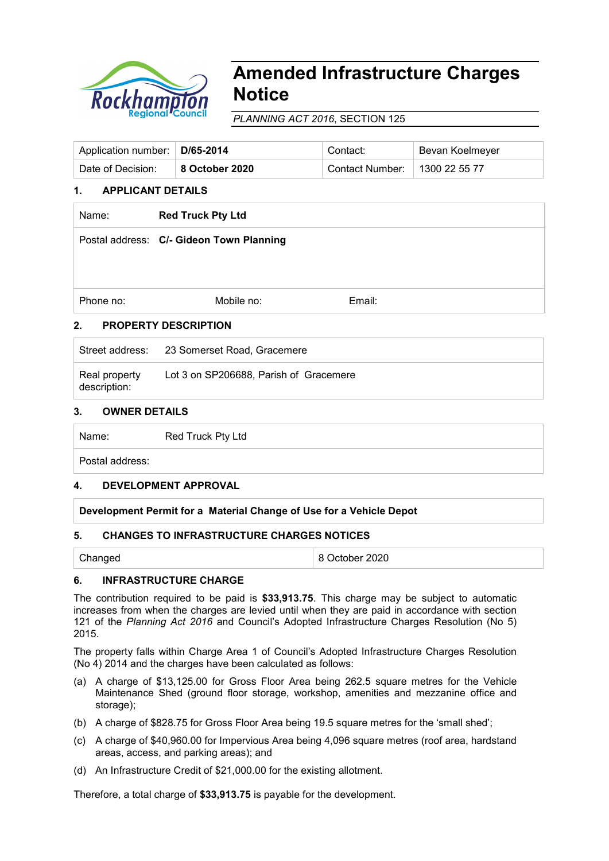

# **Amended Infrastructure Charges Notice**

*PLANNING ACT 2016*, SECTION 125

| Application number:   D/65-2014 |                | Contact:                        | Bevan Koelmeyer |
|---------------------------------|----------------|---------------------------------|-----------------|
| Date of Decision:               | 8 October 2020 | Contact Number:   1300 22 55 77 |                 |

# **1. APPLICANT DETAILS**

| Name:                             | <b>Red Truck Pty Ltd</b>                 |        |  |  |  |  |
|-----------------------------------|------------------------------------------|--------|--|--|--|--|
|                                   | Postal address: C/- Gideon Town Planning |        |  |  |  |  |
|                                   |                                          |        |  |  |  |  |
|                                   |                                          |        |  |  |  |  |
| Phone no:                         | Mobile no:                               | Email: |  |  |  |  |
| 2.<br><b>PROPERTY DESCRIPTION</b> |                                          |        |  |  |  |  |

|                               | Street address: 23 Somerset Road, Gracemere |
|-------------------------------|---------------------------------------------|
| Real property<br>description: | Lot 3 on SP206688, Parish of Gracemere      |

# **3. OWNER DETAILS**

Name: Red Truck Pty Ltd

Postal address:

# **4. DEVELOPMENT APPROVAL**

**Development Permit for a Material Change of Use for a Vehicle Depot**

# **5. CHANGES TO INFRASTRUCTURE CHARGES NOTICES**

8 October 2020

# **6. INFRASTRUCTURE CHARGE**

The contribution required to be paid is **\$33,913.75**. This charge may be subject to automatic increases from when the charges are levied until when they are paid in accordance with section 121 of the *Planning Act 2016* and Council's Adopted Infrastructure Charges Resolution (No 5) 2015.

The property falls within Charge Area 1 of Council's Adopted Infrastructure Charges Resolution (No 4) 2014 and the charges have been calculated as follows:

- (a) A charge of \$13,125.00 for Gross Floor Area being 262.5 square metres for the Vehicle Maintenance Shed (ground floor storage, workshop, amenities and mezzanine office and storage);
- (b) A charge of \$828.75 for Gross Floor Area being 19.5 square metres for the 'small shed';
- (c) A charge of \$40,960.00 for Impervious Area being 4,096 square metres (roof area, hardstand areas, access, and parking areas); and
- (d) An Infrastructure Credit of \$21,000.00 for the existing allotment.

Therefore, a total charge of **\$33,913.75** is payable for the development.